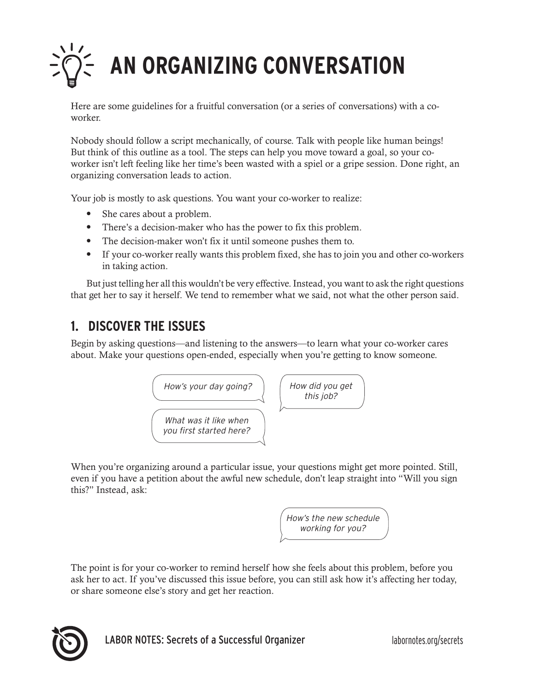

Here are some guidelines for a fruitful conversation (or a series of conversations) with a coworker.

Nobody should follow a script mechanically, of course. Talk with people like human beings! But think of this outline as a tool. The steps can help you move toward a goal, so your coworker isn't left feeling like her time's been wasted with a spiel or a gripe session. Done right, an organizing conversation leads to action.

Your job is mostly to ask questions. You want your co-worker to realize:

- She cares about a problem.
- There's a decision-maker who has the power to fix this problem.
- The decision-maker won't fix it until someone pushes them to.
- If your co-worker really wants this problem fixed, she has to join you and other co-workers in taking action.

But just telling her all this wouldn't be very effective. Instead, you want to ask the right questions that get her to say it herself. We tend to remember what we said, not what the other person said.

### **1. DISCOVER THE ISSUES**

Begin by asking questions—and listening to the answers—to learn what your co-worker cares about. Make your questions open-ended, especially when you're getting to know someone.



When you're organizing around a particular issue, your questions might get more pointed. Still, even if you have a petition about the awful new schedule, don't leap straight into "Will you sign this?" Instead, ask:

> How's the new schedule working for you?

The point is for your co-worker to remind herself how she feels about this problem, before you ask her to act. If you've discussed this issue before, you can still ask how it's affecting her today, or share someone else's story and get her reaction.

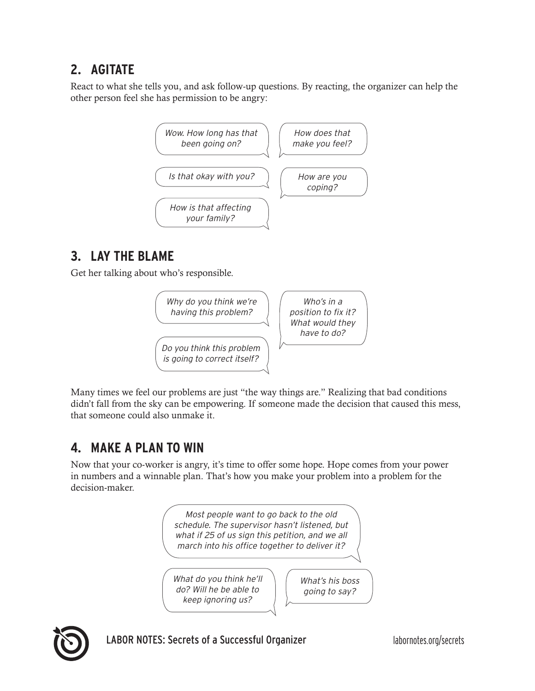### **2. AGITATE**

React to what she tells you, and ask follow-up questions. By reacting, the organizer can help the other person feel she has permission to be angry:



# **3. LAY THE BLAME**

Get her talking about who's responsible.



Many times we feel our problems are just "the way things are." Realizing that bad conditions didn't fall from the sky can be empowering. If someone made the decision that caused this mess, that someone could also unmake it.

## **4. MAKE A PLAN TO WIN**

Now that your co-worker is angry, it's time to offer some hope. Hope comes from your power in numbers and a winnable plan. That's how you make your problem into a problem for the decision-maker.





LABOR NOTES: Secrets of a Successful Organizer **interpreteral about the United States** labornotes.org/secrets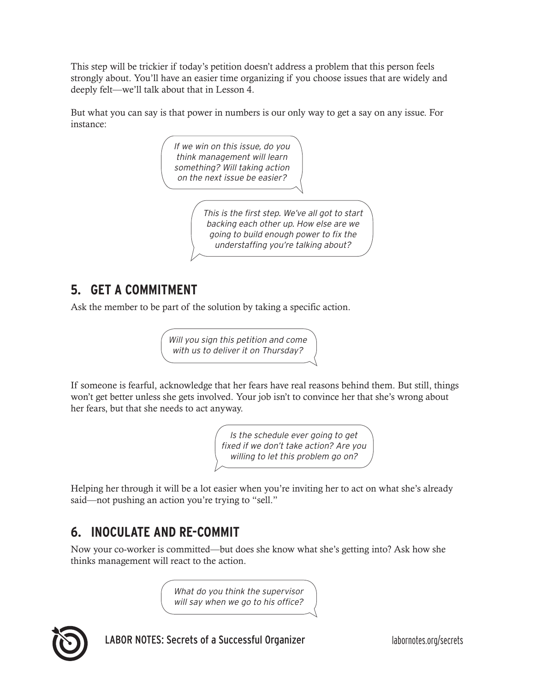This step will be trickier if today's petition doesn't address a problem that this person feels strongly about. You'll have an easier time organizing if you choose issues that are widely and deeply felt—we'll talk about that in Lesson 4.

But what you can say is that power in numbers is our only way to get a say on any issue. For instance:

> If we win on this issue, do you think management will learn something? Will taking action on the next issue be easier?

> > This is the first step. We've all got to start backing each other up. How else are we going to build enough power to fix the understaffing you're talking about?

### **5. GET A COMMITMENT**

Ask the member to be part of the solution by taking a specific action.

Will you sign this petition and come with us to deliver it on Thursday?

If someone is fearful, acknowledge that her fears have real reasons behind them. But still, things won't get better unless she gets involved. Your job isn't to convince her that she's wrong about her fears, but that she needs to act anyway.

> Is the schedule ever going to get fixed if we don't take action? Are you willing to let this problem go on?

Helping her through it will be a lot easier when you're inviting her to act on what she's already said—not pushing an action you're trying to "sell."

## **6. INOCULATE AND RE-COMMIT**

Now your co-worker is committed—but does she know what she's getting into? Ask how she thinks management will react to the action.

> What do you think the supervisor will say when we go to his office?



LABOR NOTES: Secrets of a Successful Organizer and all the labornotes.org/secrets